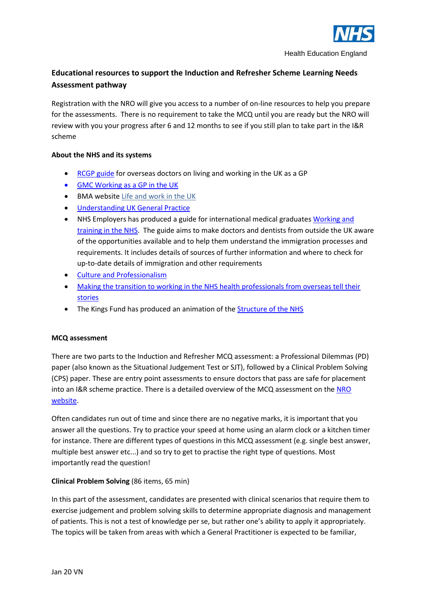

# **Educational resources to support the Induction and Refresher Scheme Learning Needs Assessment pathway**

Registration with the NRO will give you access to a number of on-line resources to help you prepare for the assessments. There is no requirement to take the MCQ until you are ready but the NRO will review with you your progress after 6 and 12 months to see if you still plan to take part in the I&R scheme

## **About the NHS and its systems**

- [RCGP guide](http://www.rcgp.org.uk/training-exams/discover-general-practice/overseas-doctors-guide.aspx) for overseas doctors on living and working in the UK as a GP
- [GMC Working as a GP in the UK](https://www.gmc-uk.org/doctors/registration_applications/10049.asp)
- BMA website [Life and work in the UK](http://www.bma.org.uk/support-at-work/life-and-work-in-the-uk)
- [Understanding UK General Practice](https://www.youtube.com/watch?v=HBXbmLsDTF4&list=UU6--7iZHdIYiimtPxPP4IsQ)
- NHS Employers has produced a guide for international medical graduates [Working and](http://www.nhsemployers.org/case-studies-and-resources/2014/08/working-and-training-in-the-nhs-a-guide-for-international-medical-graduates)  [training in the NHS.](http://www.nhsemployers.org/case-studies-and-resources/2014/08/working-and-training-in-the-nhs-a-guide-for-international-medical-graduates) The guide aims to make doctors and dentists from outside the UK aware of the opportunities available and to help them understand the immigration processes and requirements. It includes details of sources of further information and where to check for up-to-date details of immigration and other requirements
- [Culture and Professionalism](https://www.youtube.com/watch?v=ZFBtakvl8yA)
- [Making the transition to working in the NHS health professionals from overseas tell their](https://www.youtube.com/watch?v=1kxjjKFuYCg)  [stories](https://www.youtube.com/watch?v=1kxjjKFuYCg)
- The Kings Fund has produced an animation of th[e Structure of the NHS](https://www.kingsfund.org.uk/audio-video/how-does-nhs-in-england-work)

## **MCQ assessment**

There are two parts to the Induction and Refresher MCQ assessment: a Professional Dilemmas (PD) paper (also known as the Situational Judgement Test or SJT), followed by a Clinical Problem Solving (CPS) paper. These are entry point assessments to ensure doctors that pass are safe for placement into an I&R scheme practice. There is a detailed overview of the MCQ assessment on the [NRO](https://gprecruitment.hee.nhs.uk/Induction-Refresher/Assessment-Process/MCQ)  [website.](https://gprecruitment.hee.nhs.uk/Induction-Refresher/Assessment-Process/MCQ)

Often candidates run out of time and since there are no negative marks, it is important that you answer all the questions. Try to practice your speed at home using an alarm clock or a kitchen timer for instance. There are different types of questions in this MCQ assessment (e.g. single best answer, multiple best answer etc...) and so try to get to practise the right type of questions. Most importantly read the question!

## **Clinical Problem Solving** (86 items, 65 min)

In this part of the assessment, candidates are presented with clinical scenarios that require them to exercise judgement and problem solving skills to determine appropriate diagnosis and management of patients. This is not a test of knowledge per se, but rather one's ability to apply it appropriately. The topics will be taken from areas with which a General Practitioner is expected to be familiar,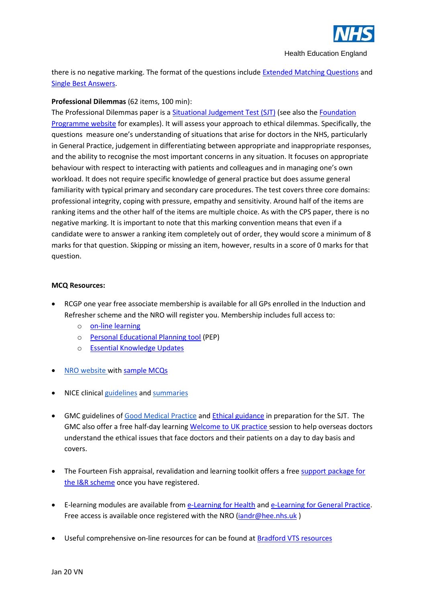

Health Education England

there is no negative marking. The format of the questions include **Extended Matching Questions** and [Single Best Answers.](http://www.medschools.ac.uk/MSCAA/EXAMPLEQUESTIONS/Pages/SBAs.aspx)

## **Professional Dilemmas** (62 items, 100 min):

The Professional Dilemmas paper is a [Situational Judgement Test \(SJT\)](https://en.wikipedia.org/wiki/Situational_judgement_test) (see also th[e Foundation](http://sjt.foundationprogramme.nhs.uk/sample)  [Programme website](http://sjt.foundationprogramme.nhs.uk/sample) for examples). It will assess your approach to ethical dilemmas. Specifically, the questions measure one's understanding of situations that arise for doctors in the NHS, particularly in General Practice, judgement in differentiating between appropriate and inappropriate responses, and the ability to recognise the most important concerns in any situation. It focuses on appropriate behaviour with respect to interacting with patients and colleagues and in managing one's own workload. It does not require specific knowledge of general practice but does assume general familiarity with typical primary and secondary care procedures. The test covers three core domains: professional integrity, coping with pressure, empathy and sensitivity. Around half of the items are ranking items and the other half of the items are multiple choice. As with the CPS paper, there is no negative marking. It is important to note that this marking convention means that even if a candidate were to answer a ranking item completely out of order, they would score a minimum of 8 marks for that question. Skipping or missing an item, however, results in a score of 0 marks for that question.

### **MCQ Resources:**

- RCGP one year free associate membership is available for all GPs enrolled in the Induction and Refresher scheme and the NRO will register you. Membership includes full access to:
	- o [on-line learning](http://elearning.rcgp.org.uk/)
	- o [Personal Educational Planning tool](http://elearning.rcgp.org.uk/course/index.php?categoryid=17) (PEP)
	- o [Essential Knowledge Updates](http://elearning.rcgp.org.uk/course/index.php?categoryid=2)
- **[NRO website](https://gprecruitment.hee.nhs.uk/Induction-Refresher/MCQ) with [sample MCQs](https://gprecruitment.hee.nhs.uk/Portals/8/Documents/National/MSRA%20Applicant%20Guide%20-%20Sample%20Questions.pdf?ver=2016-10-27-083032-9)**
- NICE clinica[l guidelines](https://www.nice.org.uk/guidance) an[d summaries](http://cks.nice.org.uk/#?char=A)
- GMC guidelines of [Good Medical Practice](http://www.gmc-uk.org/guidance/good_medical_practice.asp) an[d Ethical guidance](https://www.gmc-uk.org/gmpinaction/) in preparation for the SJT. The GMC also offer a free half-day learnin[g Welcome to UK practice](https://www.gmc-uk.org/about/what-we-do-and-why/learning-and-support/workshops-for-doctors/welcome-to-uk-practice) session to help overseas doctors understand the ethical issues that face doctors and their patients on a day to day basis and covers.
- The Fourteen Fish appraisal, revalidation and learning toolkit offers a free support package for [the I&R scheme](https://www.fourteenfish.com/iandr/welcome) once you have registered.
- E-learning modules are available from [e-Learning for Health](https://www.e-lfh.org.uk/) an[d e-Learning for General Practice.](http://www.e-lfh.org.uk/programmes/general-practitioners/access-the-e-learning/) Free access is available once registered with the NRO [\(iandr@hee.nhs.uk](mailto:iandr@hee.nhs.uk))
- Useful comprehensive on-line resources for can be found a[t Bradford VTS resources](https://www.bradfordvts.co.uk/online-resources/)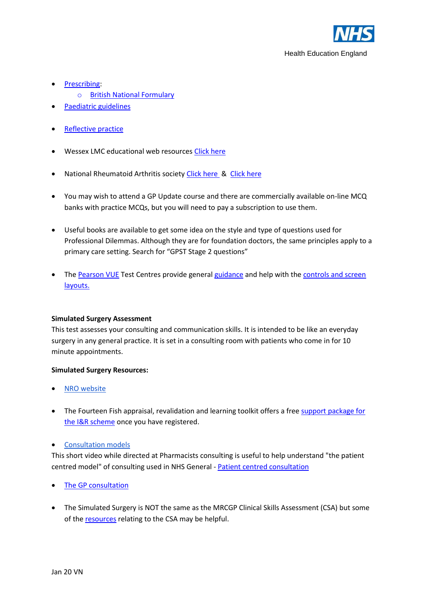

- [Prescribing:](https://www.bradfordvts.co.uk/online-resources/prescribing/)
	- o [British National Formulary](https://www.medicinescomplete.com/mc/bnfc/current/)
- [Paediatric guidelines](https://www.piernetwork.org/guidelines.html)
- [Reflective practice](http://www.lpmde.ac.uk/professional-development/elearning-support-and-self-review-modules)
- Wessex LMC educational web resources [Click here](https://www.wessexlmcs.com/wessexlmcspodcastssupportingyouandyourpractice)
- National Rheumatoid Arthritis society [Click here](https://www.nras.org.uk/for-professionals) & [Click here](http://www.arthritisresearchuk.org/health-professionals-and-students/student-handbook/intro-to-msk-assessment.aspx)
- You may wish to attend a GP Update course and there are commercially available on-line MCQ banks with practice MCQs, but you will need to pay a subscription to use them.
- Useful books are available to get some idea on the style and type of questions used for Professional Dilemmas. Although they are for foundation doctors, the same principles apply to a primary care setting. Search for "GPST Stage 2 questions"
- The [Pearson VUE](http://www.pearsonvue.com/athena/athena.asp) Test Centres provide general [guidance](https://www.youtube.com/embed/gJF4jkkXhaU?rel=0&enablejsapi=1) and help with the [controls and screen](http://www.pearsonvue.com/demo/)  [layouts.](http://www.pearsonvue.com/demo/)

### **Simulated Surgery Assessment**

This test assesses your consulting and communication skills. It is intended to be like an everyday surgery in any general practice. It is set in a consulting room with patients who come in for 10 minute appointments.

### **Simulated Surgery Resources:**

- **NRO** website
- The Fourteen Fish appraisal, revalidation and learning toolkit offers a free support package for [the I&R scheme](https://www.fourteenfish.com/iandr/welcome) once you have registered.

## • [Consultation models](http://www.patient.co.uk/doctor/consultation-analysis)

This short video while directed at Pharmacists consulting is useful to help understand "the patient centred model" of consulting used in NHS General - [Patient centred consultation](https://m.youtube.com/watch?v=luYfFlh6LOc)

- [The GP consultation](https://www.bradfordvts.co.uk/online-resources/consultation-skills/)
- The Simulated Surgery is NOT the same as the MRCGP Clinical Skills Assessment (CSA) but some of the [resources](https://www.pennine-gp-training.co.uk/csa-courses-and-resources.html) relating to the CSA may be helpful.